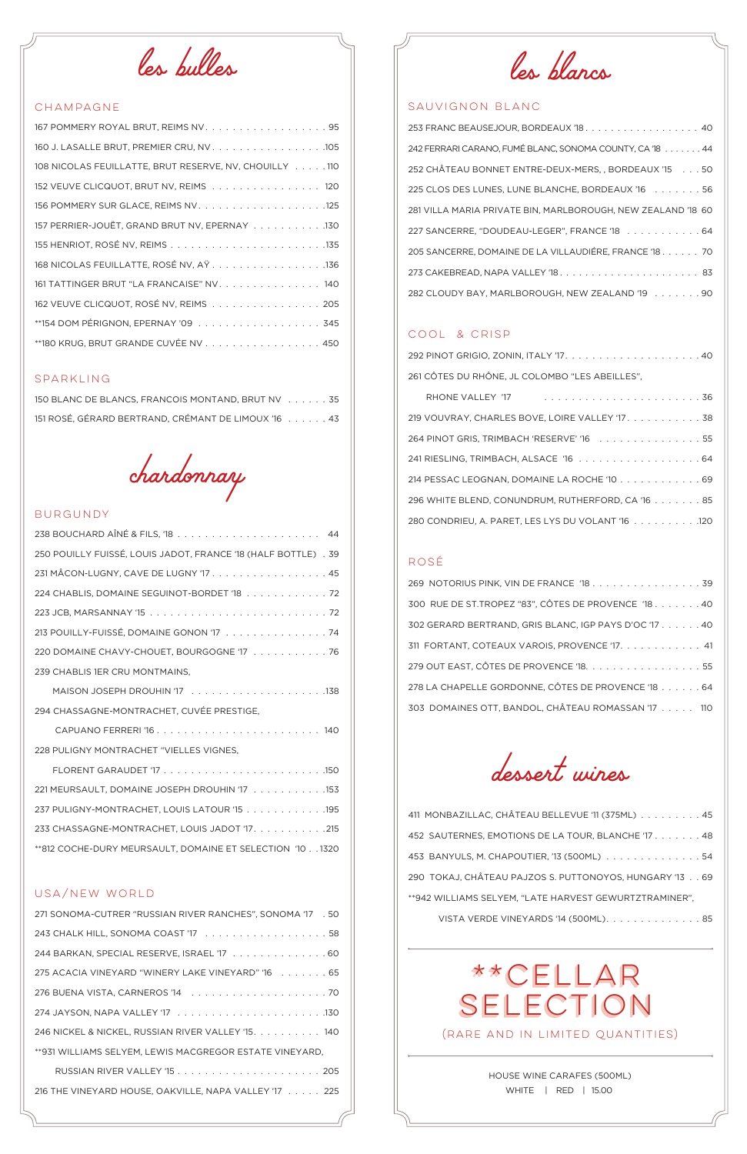*les bulles*

# CHAMPAGNE

| 160 J. LASALLE BRUT, PREMIER CRU, NV. 105              |  |
|--------------------------------------------------------|--|
| 108 NICOLAS FEUILLATTE, BRUT RESERVE, NV, CHOUILLY 110 |  |
| 152 VEUVE CLICQUOT, BRUT NV, REIMS 120                 |  |
|                                                        |  |
| 157 PERRIER-JOUËT, GRAND BRUT NV, EPERNAY 130          |  |
|                                                        |  |
| 168 NICOLAS FEUILLATTE, ROSÉ NV, AŸ. 136               |  |
| 161 TATTINGER BRUT "LA FRANCAISE" NV. 140              |  |
| 162 VEUVE CLICQUOT, ROSÉ NV, REIMS 205                 |  |
| **154 DOM PÉRIGNON, EPERNAY '09 345                    |  |
| **180 KRUG, BRUT GRANDE CUVÉE NV 450                   |  |

# SPARKLING

| 150 BLANC DE BLANCS, FRANCOIS MONTAND, BRUT NV 35   |  |
|-----------------------------------------------------|--|
| 151 ROSÉ, GÉRARD BERTRAND, CRÉMANT DE LIMOUX '16 43 |  |

*chardonnay*

# BURGUNDY

| 250 POUILLY FUISSÉ, LOUIS JADOT, FRANCE '18 (HALF BOTTLE) . 39 |
|----------------------------------------------------------------|
| 231 MÂCON-LUGNY, CAVE DE LUGNY '17. 45                         |
| 224 CHABLIS, DOMAINE SEGUINOT-BORDET '18 72                    |
|                                                                |
| 213 POUILLY-FUISSÉ, DOMAINE GONON '17 74                       |
| 220 DOMAINE CHAVY-CHOUET, BOURGOGNE '17 76                     |
| 239 CHABLIS 1ER CRU MONTMAINS,                                 |
|                                                                |
| 294 CHASSAGNE-MONTRACHET, CUVÉE PRESTIGE,                      |
|                                                                |
| 228 PULIGNY MONTRACHET "VIELLES VIGNES,                        |
|                                                                |
| 221 MEURSAULT, DOMAINE JOSEPH DROUHIN '17 153                  |
| 237 PULIGNY-MONTRACHET, LOUIS LATOUR '15 195                   |
| 233 CHASSAGNE-MONTRACHET, LOUIS JADOT '17. 215                 |
| **812 COCHE-DURY MEURSAULT, DOMAINE ET SELECTION '10 1320      |

#### USA/NEW WORLD

| 271 SONOMA-CUTRER "RUSSIAN RIVER RANCHES", SONOMA '17 . 50 |
|------------------------------------------------------------|
|                                                            |
| 244 BARKAN, SPECIAL RESERVE, ISRAEL '17 60                 |
| 275 ACACIA VINEYARD "WINERY LAKE VINEYARD" '16 65          |
|                                                            |
|                                                            |
| 246 NICKEL & NICKEL, RUSSIAN RIVER VALLEY '15. 140         |
| **931 WILLIAMS SELYEM. LEWIS MACGREGOR ESTATE VINEYARD.    |
|                                                            |
| 216 THE VINEYARD HOUSE, OAKVILLE, NAPA VALLEY '17 225      |
|                                                            |

| 453 BANYULS, M. CHAPOUTIER, '13 (500ML) 54              |  |
|---------------------------------------------------------|--|
| 290 TOKAJ, CHÂTEAU PAJZOS S. PUTTONOYOS, HUNGARY '13 69 |  |
| **942 WILLIAMS SELYEM, "LATE HARVEST GEWURTZTRAMINER",  |  |
| VISTA VERDE VINEYARDS '14 (500ML). 85                   |  |

*les blancs*

## SAUVIGNON BLANC

| 253 FRANC BEAUSEJOUR, BORDEAUX '18. 40                       |
|--------------------------------------------------------------|
| 242 FERRARI CARANO, FUMÉ BLANC, SONOMA COUNTY, CA '18 44     |
| 252 CHÂTEAU BONNET ENTRE-DEUX-MERS,, BORDEAUX '15 50         |
| 225 CLOS DES LUNES, LUNE BLANCHE, BORDEAUX '16 56            |
| 281 VILLA MARIA PRIVATE BIN, MARLBOROUGH, NEW ZEALAND '18 60 |
| 227 SANCERRE, "DOUDEAU-LEGER", FRANCE '18 64                 |
| 205 SANCERRE, DOMAINE DE LA VILLAUDIÉRE, FRANCE '18. 70      |
|                                                              |
| 282 CLOUDY BAY, MARLBOROUGH, NEW ZEALAND '19 90              |

# COOL & CRISP

| 261 CÔTES DU RHÔNE, JL COLOMBO "LES ABEILLES", |  |
|------------------------------------------------|--|

| 219 VOUVRAY, CHARLES BOVE, LOIRE VALLEY '17. 38   |  |  |  |  |
|---------------------------------------------------|--|--|--|--|
| 264 PINOT GRIS, TRIMBACH 'RESERVE' '16 55         |  |  |  |  |
|                                                   |  |  |  |  |
| 214 PESSAC LEOGNAN, DOMAINE LA ROCHE '10 69       |  |  |  |  |
| 296 WHITE BLEND, CONUNDRUM, RUTHERFORD, CA '16 85 |  |  |  |  |
| 280 CONDRIEU, A. PARET, LES LYS DU VOLANT '16 120 |  |  |  |  |

### ROSÉ

| 269 NOTORIUS PINK, VIN DE FRANCE '18 39               |
|-------------------------------------------------------|
| 300 RUE DE ST.TROPEZ "83", CÔTES DE PROVENCE '18. 40  |
| 302 GERARD BERTRAND, GRIS BLANC, IGP PAYS D'OC '17 40 |
| 311 FORTANT, COTEAUX VAROIS, PROVENCE '17. 41         |
| 279 OUT EAST, CÔTES DE PROVENCE '18. 55               |
| 278 LA CHAPELLE GORDONNE, CÔTES DE PROVENCE '18 64    |
| 303 DOMAINES OTT, BANDOL, CHÂTEAU ROMASSAN '17 110    |

*dessert wines*

| 411 MONBAZILLAC, CHÂTEAU BELLEVUE '11 (375ML) 45   |  |  |
|----------------------------------------------------|--|--|
| 452 SAUTERNES. EMOTIONS DE LA TOUR. BLANCHE '17 48 |  |  |

(RARE AND IN LIMITED QUANTITIES)

HOUSE WINE CARAFES (500ML)

WHITE | RED | 15.00

# \*\*cellar selection